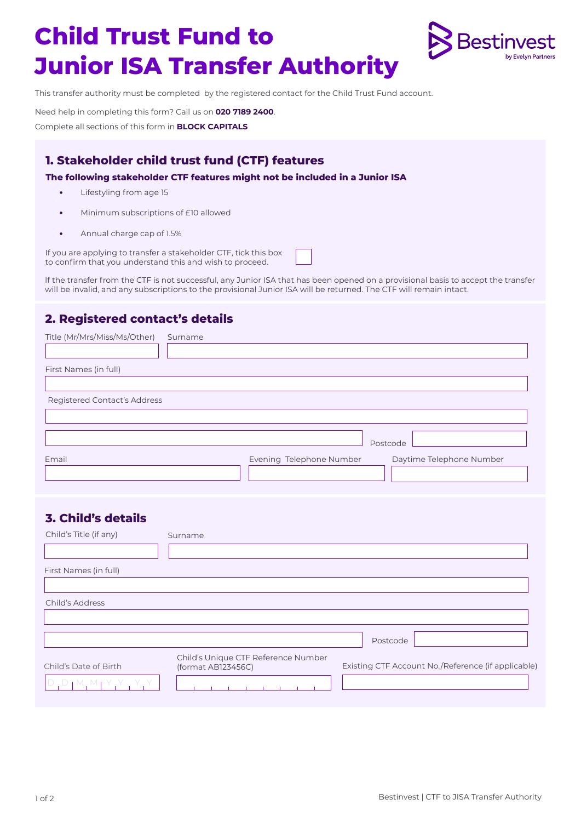# **Child Trust Fund to Junior ISA Transfer Authority**



This transfer authority must be completed by the registered contact for the Child Trust Fund account.

Need help in completing this form? Call us on **020 7189 2400**. Complete all sections of this form in **BLOCK CAPITALS**

## **1. Stakeholder child trust fund (CTF) features**

**The following stakeholder CTF features might not be included in a Junior ISA**

- **•** Lifestyling from age 15
- **•** Minimum subscriptions of £10 allowed
- **•** Annual charge cap of 1.5%

If you are applying to transfer a stakeholder CTF, tick this box to confirm that you understand this and wish to proceed.

If the transfer from the CTF is not successful, any Junior ISA that has been opened on a provisional basis to accept the transfer will be invalid, and any subscriptions to the provisional Junior ISA will be returned. The CTF will remain intact.

## **2. Registered contact's details**

| Title (Mr/Mrs/Miss/Ms/Other) | Surname                                                   |                          |          |                                                    |
|------------------------------|-----------------------------------------------------------|--------------------------|----------|----------------------------------------------------|
| First Names (in full)        |                                                           |                          |          |                                                    |
| Registered Contact's Address |                                                           |                          |          |                                                    |
| Email                        |                                                           | Evening Telephone Number | Postcode | Daytime Telephone Number                           |
|                              |                                                           |                          |          |                                                    |
| <b>3. Child's details</b>    |                                                           |                          |          |                                                    |
| Child's Title (if any)       | Surname                                                   |                          |          |                                                    |
| First Names (in full)        |                                                           |                          |          |                                                    |
| Child's Address              |                                                           |                          |          |                                                    |
|                              |                                                           |                          | Postcode |                                                    |
| Child's Date of Birth        | Child's Unique CTF Reference Number<br>(format AB123456C) |                          |          | Existing CTF Account No./Reference (if applicable) |
| $D_1D_1M_1M_1Y_1Y_1Y_1$      | $1 - 1 - 1 - 1 - 1 - 1 - 1 - 1 - 1$                       |                          |          |                                                    |